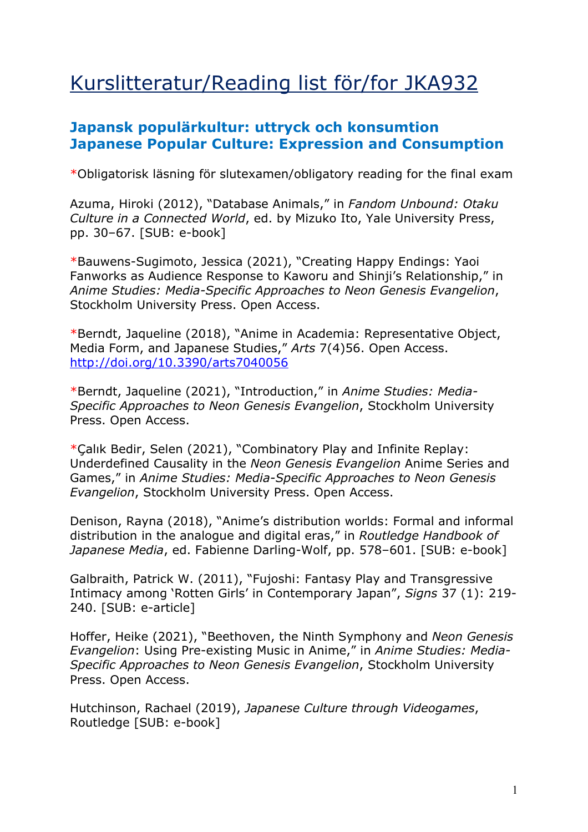## Kurslitteratur/Reading list för/for JKA932

## **Japansk populärkultur: uttryck och konsumtion Japanese Popular Culture: Expression and Consumption**

\*Obligatorisk läsning för slutexamen/obligatory reading for the final exam

Azuma, Hiroki (2012), "Database Animals," in *Fandom Unbound: Otaku Culture in a Connected World*, ed. by Mizuko Ito, Yale University Press, pp. 30–67. [SUB: e-book]

\*Bauwens-Sugimoto, Jessica (2021), "Creating Happy Endings: Yaoi Fanworks as Audience Response to Kaworu and Shinji's Relationship," in *Anime Studies: Media-Specific Approaches to Neon Genesis Evangelion*, Stockholm University Press. Open Access.

\*Berndt, Jaqueline (2018), "Anime in Academia: Representative Object, Media Form, and Japanese Studies," *Arts* 7(4)56. Open Access. http://doi.org/10.3390/arts7040056

\*Berndt, Jaqueline (2021), "Introduction," in *Anime Studies: Media-Specific Approaches to Neon Genesis Evangelion*, Stockholm University Press. Open Access.

\*Çalık Bedir, Selen (2021), "Combinatory Play and Infinite Replay: Underdefined Causality in the *Neon Genesis Evangelion* Anime Series and Games," in *Anime Studies: Media-Specific Approaches to Neon Genesis Evangelion*, Stockholm University Press. Open Access.

Denison, Rayna (2018), "Anime's distribution worlds: Formal and informal distribution in the analogue and digital eras," in *Routledge Handbook of Japanese Media*, ed. Fabienne Darling-Wolf, pp. 578–601. [SUB: e-book]

Galbraith, Patrick W. (2011), "Fujoshi: Fantasy Play and Transgressive Intimacy among 'Rotten Girls' in Contemporary Japan", *Signs* 37 (1): 219- 240. [SUB: e-article]

Hoffer, Heike (2021), "Beethoven, the Ninth Symphony and *Neon Genesis Evangelion*: Using Pre-existing Music in Anime," in *Anime Studies: Media-Specific Approaches to Neon Genesis Evangelion*, Stockholm University Press. Open Access.

Hutchinson, Rachael (2019), *Japanese Culture through Videogames*, Routledge [SUB: e-book]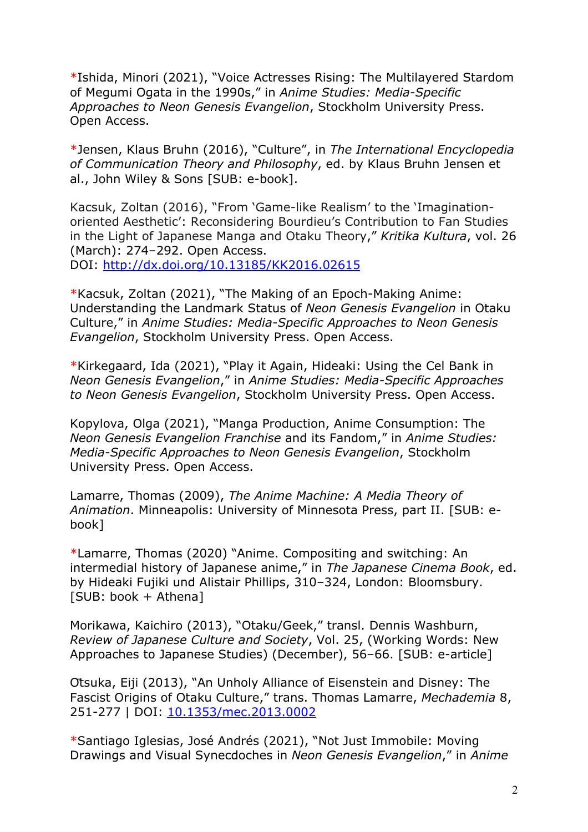\*Ishida, Minori (2021), "Voice Actresses Rising: The Multilayered Stardom of Megumi Ogata in the 1990s," in *Anime Studies: Media-Specific Approaches to Neon Genesis Evangelion*, Stockholm University Press. Open Access.

\*Jensen, Klaus Bruhn (2016), "Culture", in *The International Encyclopedia of Communication Theory and Philosophy*, ed. by Klaus Bruhn Jensen et al., John Wiley & Sons [SUB: e-book].

Kacsuk, Zoltan (2016), "From 'Game-like Realism' to the 'Imaginationoriented Aesthetic': Reconsidering Bourdieu's Contribution to Fan Studies in the Light of Japanese Manga and Otaku Theory," *Kritika Kultura*, vol. 26 (March): 274–292. Open Access. DOI: http://dx.doi.org/10.13185/KK2016.02615

\*Kacsuk, Zoltan (2021), "The Making of an Epoch-Making Anime: Understanding the Landmark Status of *Neon Genesis Evangelion* in Otaku Culture," in *Anime Studies: Media-Specific Approaches to Neon Genesis Evangelion*, Stockholm University Press. Open Access.

\*Kirkegaard, Ida (2021), "Play it Again, Hideaki: Using the Cel Bank in *Neon Genesis Evangelion*," in *Anime Studies: Media-Specific Approaches to Neon Genesis Evangelion*, Stockholm University Press. Open Access.

Kopylova, Olga (2021), "Manga Production, Anime Consumption: The *Neon Genesis Evangelion Franchise* and its Fandom," in *Anime Studies: Media-Specific Approaches to Neon Genesis Evangelion*, Stockholm University Press. Open Access.

Lamarre, Thomas (2009), *The Anime Machine: A Media Theory of Animation*. Minneapolis: University of Minnesota Press, part II. [SUB: ebook]

\*Lamarre, Thomas (2020) "Anime. Compositing and switching: An intermedial history of Japanese anime," in *The Japanese Cinema Book*, ed. by Hideaki Fujiki und Alistair Phillips, 310–324, London: Bloomsbury. [SUB: book + Athena]

Morikawa, Kaichiro (2013), "Otaku/Geek," transl. Dennis Washburn, *Review of Japanese Culture and Society*, Vol. 25, (Working Words: New Approaches to Japanese Studies) (December), 56–66. [SUB: e-article]

Ōtsuka, Eiji (2013), "An Unholy Alliance of Eisenstein and Disney: The Fascist Origins of Otaku Culture," trans. Thomas Lamarre, *Mechademia* 8, 251-277 | DOI: 10.1353/mec.2013.0002

\*Santiago Iglesias, José Andrés (2021), "Not Just Immobile: Moving Drawings and Visual Synecdoches in *Neon Genesis Evangelion*," in *Anime*